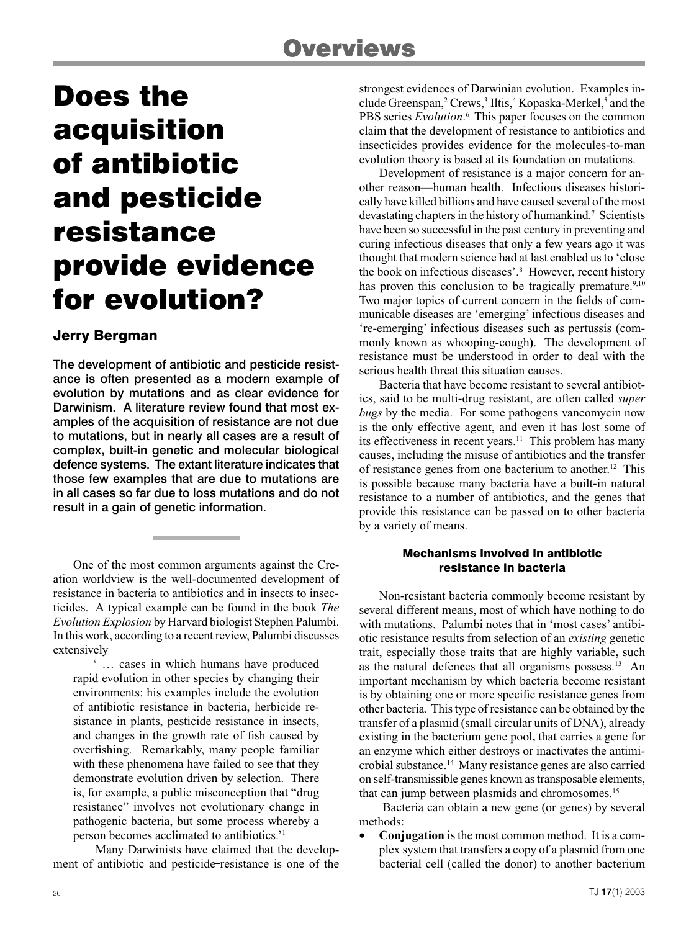# Does the acquisition of antibiotic and pesticide resistance provide evidence for evolution?

## Jerry Bergman

The development of antibiotic and pesticide resistance is often presented as a modern example of evolution by mutations and as clear evidence for Darwinism. A literature review found that most examples of the acquisition of resistance are not due to mutations, but in nearly all cases are a result of complex, built-in genetic and molecular biological defence systems. The extant literature indicates that those few examples that are due to mutations are in all cases so far due to loss mutations and do not result in a gain of genetic information.

One of the most common arguments against the Creation worldview is the well-documented development of resistance in bacteria to antibiotics and in insects to insecticides. A typical example can be found in the book *The Evolution Explosion* by Harvard biologist Stephen Palumbi. In this work, according to a recent review, Palumbi discusses extensively

' … cases in which humans have produced rapid evolution in other species by changing their environments: his examples include the evolution of antibiotic resistance in bacteria, herbicide resistance in plants, pesticide resistance in insects, and changes in the growth rate of fish caused by overfishing. Remarkably, many people familiar with these phenomena have failed to see that they demonstrate evolution driven by selection. There is, for example, a public misconception that "drug resistance" involves not evolutionary change in pathogenic bacteria, but some process whereby a person becomes acclimated to antibiotics.'1

Many Darwinists have claimed that the development of antibiotic and pesticide resistance is one of the strongest evidences of Darwinian evolution. Examples include Greenspan,<sup>2</sup> Crews,<sup>3</sup> Iltis,<sup>4</sup> Kopaska-Merkel,<sup>5</sup> and the PBS series *Evolution*.<sup>6</sup> This paper focuses on the common claim that the development of resistance to antibiotics and insecticides provides evidence for the molecules-to-man evolution theory is based at its foundation on mutations.

Development of resistance is a major concern for another reason—human health. Infectious diseases historically have killed billions and have caused several of the most devastating chapters in the history of humankind.<sup>7</sup> Scientists have been so successful in the past century in preventing and curing infectious diseases that only a few years ago it was thought that modern science had at last enabled us to 'close the book on infectious diseases'.<sup>8</sup> However, recent history has proven this conclusion to be tragically premature.<sup>9,10</sup> Two major topics of current concern in the fields of communicable diseases are 'emerging' infectious diseases and 're-emerging' infectious diseases such as pertussis (commonly known as whooping-cough**)**. The development of resistance must be understood in order to deal with the serious health threat this situation causes.

Bacteria that have become resistant to several antibiotics, said to be multi-drug resistant, are often called *super bugs* by the media. For some pathogens vancomycin now is the only effective agent, and even it has lost some of its effectiveness in recent years.11 This problem has many causes, including the misuse of antibiotics and the transfer of resistance genes from one bacterium to another. 12 This is possible because many bacteria have a built-in natural resistance to a number of antibiotics, and the genes that provide this resistance can be passed on to other bacteria by a variety of means.

### Mechanisms involved in antibiotic resistance in bacteria

Non-resistant bacteria commonly become resistant by several different means, most of which have nothing to do with mutations. Palumbi notes that in 'most cases' antibiotic resistance results from selection of an *existing* genetic trait, especially those traits that are highly variable**,** such as the natural defences that all organisms possess.<sup>13</sup> An important mechanism by which bacteria become resistant is by obtaining one or more specific resistance genes from other bacteria. This type of resistance can be obtained by the transfer of a plasmid (small circular units of DNA), already existing in the bacterium gene pool**,** that carries a gene for an enzyme which either destroys or inactivates the antimicrobial substance.14 Many resistance genes are also carried on self-transmissible genes known as transposable elements, that can jump between plasmids and chromosomes.15

Bacteria can obtain a new gene (or genes) by several methods:

• **Conjugation** is the most common method. It is a complex system that transfers a copy of a plasmid from one bacterial cell (called the donor) to another bacterium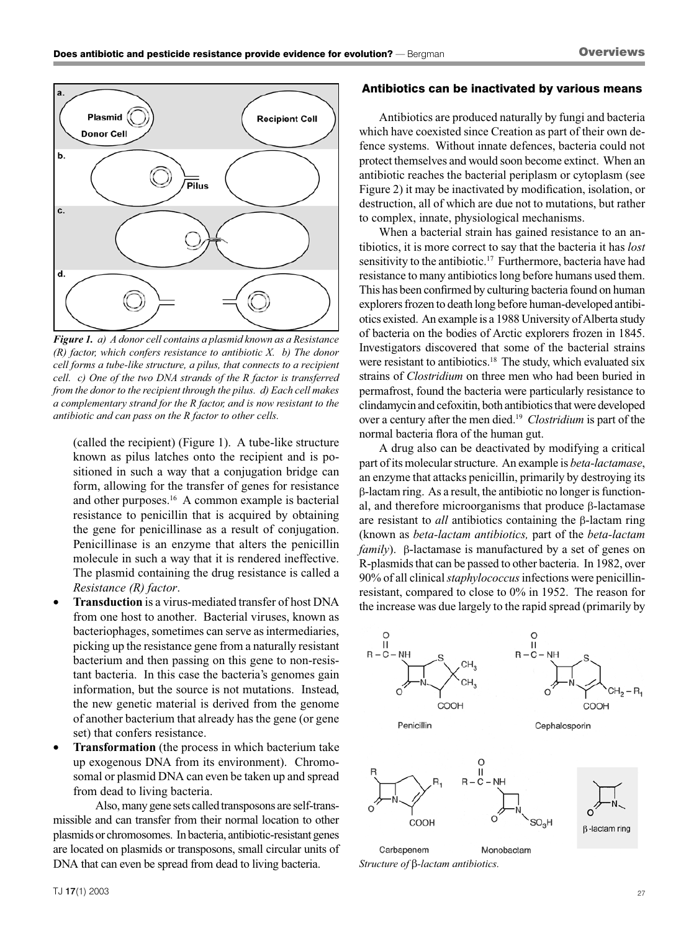

*Figure 1. a) A donor cell contains a plasmid known as a Resistance (R) factor, which confers resistance to antibiotic X. b) The donor cell forms a tube-like structure, a pilus, that connects to a recipient cell. c) One of the two DNA strands of the R factor is transferred from the donor to the recipient through the pilus. d) Each cell makes a complementary strand for the R factor, and is now resistant to the antibiotic and can pass on the R factor to other cells.*

(called the recipient) (Figure 1). A tube-like structure known as pilus latches onto the recipient and is positioned in such a way that a conjugation bridge can form, allowing for the transfer of genes for resistance and other purposes.<sup>16</sup> A common example is bacterial resistance to penicillin that is acquired by obtaining the gene for penicillinase as a result of conjugation. Penicillinase is an enzyme that alters the penicillin molecule in such a way that it is rendered ineffective. The plasmid containing the drug resistance is called a *Resistance (R) factor*.

- **Transduction** is a virus-mediated transfer of host DNA from one host to another. Bacterial viruses, known as bacteriophages, sometimes can serve as intermediaries, picking up the resistance gene from a naturally resistant bacterium and then passing on this gene to non-resistant bacteria. In this case the bacteria's genomes gain information, but the source is not mutations. Instead, the new genetic material is derived from the genome of another bacterium that already has the gene (or gene set) that confers resistance.
- **Transformation** (the process in which bacterium take up exogenous DNA from its environment). Chromosomal or plasmid DNA can even be taken up and spread from dead to living bacteria.

Also, many gene sets called transposons are self-transmissible and can transfer from their normal location to other plasmids or chromosomes. In bacteria, antibiotic-resistant genes are located on plasmids or transposons, small circular units of DNA that can even be spread from dead to living bacteria.

#### Antibiotics can be inactivated by various means

Antibiotics are produced naturally by fungi and bacteria which have coexisted since Creation as part of their own defence systems. Without innate defences, bacteria could not protect themselves and would soon become extinct. When an antibiotic reaches the bacterial periplasm or cytoplasm (see Figure 2) it may be inactivated by modification, isolation, or destruction, all of which are due not to mutations, but rather to complex, innate, physiological mechanisms.

When a bacterial strain has gained resistance to an antibiotics, it is more correct to say that the bacteria it has *lost* sensitivity to the antibiotic.<sup>17</sup> Furthermore, bacteria have had resistance to many antibiotics long before humans used them. This has been confirmed by culturing bacteria found on human explorers frozen to death long before human-developed antibiotics existed. An example is a 1988 University of Alberta study of bacteria on the bodies of Arctic explorers frozen in 1845. Investigators discovered that some of the bacterial strains were resistant to antibiotics.<sup>18</sup> The study, which evaluated six strains of *Clostridium* on three men who had been buried in permafrost, found the bacteria were particularly resistance to clindamycin and cefoxitin, both antibiotics that were developed over a century after the men died.19 *Clostridium* is part of the normal bacteria flora of the human gut.

A drug also can be deactivated by modifying a critical part of its molecular structure. An example is *beta-lactamase*, an enzyme that attacks penicillin, primarily by destroying its β-lactam ring. As a result, the antibiotic no longer is functional, and therefore microorganisms that produce β-lactamase are resistant to *all* antibiotics containing the β-lactam ring (known as *beta-lactam antibiotics,* part of the *beta-lactam family*). β-lactamase is manufactured by a set of genes on R-plasmids that can be passed to other bacteria. In 1982, over 90% of all clinical*staphylococcus*infections were penicillinresistant, compared to close to 0% in 1952. The reason for the increase was due largely to the rapid spread (primarily by



*Structure of* β*-lactam antibiotics.*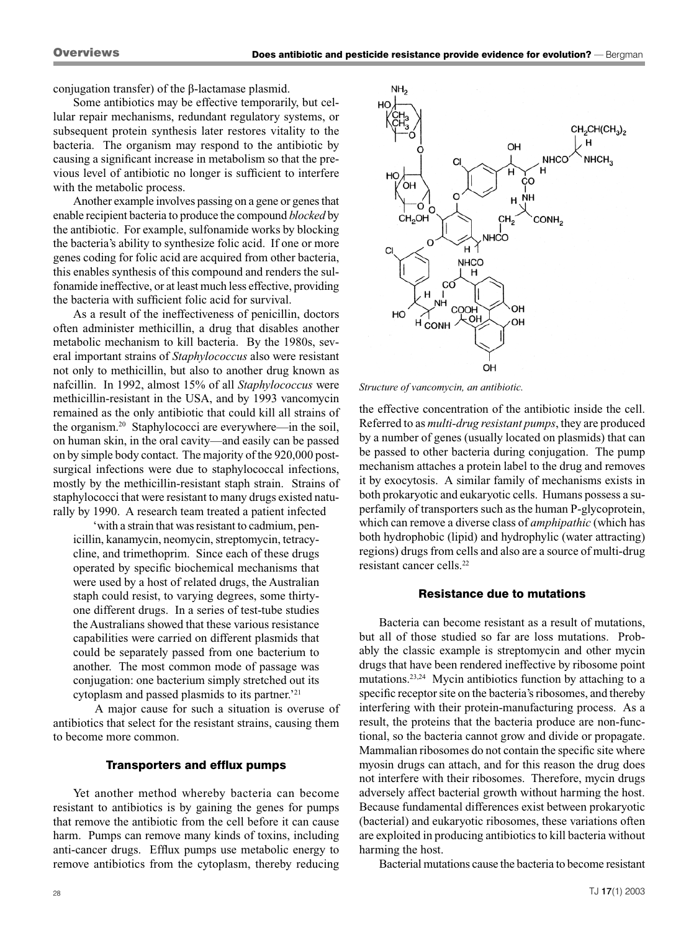conjugation transfer) of the β-lactamase plasmid.

Some antibiotics may be effective temporarily, but cellular repair mechanisms, redundant regulatory systems, or subsequent protein synthesis later restores vitality to the bacteria. The organism may respond to the antibiotic by causing a significant increase in metabolism so that the previous level of antibiotic no longer is sufficient to interfere with the metabolic process.

Another example involves passing on a gene or genes that enable recipient bacteria to produce the compound *blocked* by the antibiotic. For example, sulfonamide works by blocking the bacteria's ability to synthesize folic acid. If one or more genes coding for folic acid are acquired from other bacteria, this enables synthesis of this compound and renders the sulfonamide ineffective, or at least much less effective, providing the bacteria with sufficient folic acid for survival.

As a result of the ineffectiveness of penicillin, doctors often administer methicillin, a drug that disables another metabolic mechanism to kill bacteria. By the 1980s, several important strains of *Staphylococcus* also were resistant not only to methicillin, but also to another drug known as nafcillin. In 1992, almost 15% of all *Staphylococcus* were methicillin-resistant in the USA, and by 1993 vancomycin remained as the only antibiotic that could kill all strains of the organism.<sup>20</sup> Staphylococci are everywhere—in the soil, on human skin, in the oral cavity—and easily can be passed on by simple body contact. The majority of the 920,000 postsurgical infections were due to staphylococcal infections, mostly by the methicillin-resistant staph strain. Strains of staphylococci that were resistant to many drugs existed naturally by 1990. A research team treated a patient infected

'with a strain that was resistant to cadmium, penicillin, kanamycin, neomycin, streptomycin, tetracycline, and trimethoprim. Since each of these drugs operated by specific biochemical mechanisms that were used by a host of related drugs, the Australian staph could resist, to varying degrees, some thirtyone different drugs. In a series of test-tube studies the Australians showed that these various resistance capabilities were carried on different plasmids that could be separately passed from one bacterium to another. The most common mode of passage was conjugation: one bacterium simply stretched out its cytoplasm and passed plasmids to its partner.'21

A major cause for such a situation is overuse of antibiotics that select for the resistant strains, causing them to become more common.

#### Transporters and efflux pumps

Yet another method whereby bacteria can become resistant to antibiotics is by gaining the genes for pumps that remove the antibiotic from the cell before it can cause harm. Pumps can remove many kinds of toxins, including anti-cancer drugs. Efflux pumps use metabolic energy to remove antibiotics from the cytoplasm, thereby reducing



*Structure of vancomycin, an antibiotic.*

the effective concentration of the antibiotic inside the cell. Referred to as *multi-drug resistant pumps*, they are produced by a number of genes (usually located on plasmids) that can be passed to other bacteria during conjugation. The pump mechanism attaches a protein label to the drug and removes it by exocytosis. A similar family of mechanisms exists in both prokaryotic and eukaryotic cells. Humans possess a superfamily of transporters such as the human P-glycoprotein, which can remove a diverse class of *amphipathic* (which has both hydrophobic (lipid) and hydrophylic (water attracting) regions) drugs from cells and also are a source of multi-drug resistant cancer cells.22

#### Resistance due to mutations

Bacteria can become resistant as a result of mutations, but all of those studied so far are loss mutations. Probably the classic example is streptomycin and other mycin drugs that have been rendered ineffective by ribosome point mutations.23,24 Mycin antibiotics function by attaching to a specific receptor site on the bacteria's ribosomes, and thereby interfering with their protein-manufacturing process. As a result, the proteins that the bacteria produce are non-functional, so the bacteria cannot grow and divide or propagate. Mammalian ribosomes do not contain the specific site where myosin drugs can attach, and for this reason the drug does not interfere with their ribosomes. Therefore, mycin drugs adversely affect bacterial growth without harming the host. Because fundamental differences exist between prokaryotic (bacterial) and eukaryotic ribosomes, these variations often are exploited in producing antibiotics to kill bacteria without harming the host.

Bacterial mutations cause the bacteria to become resistant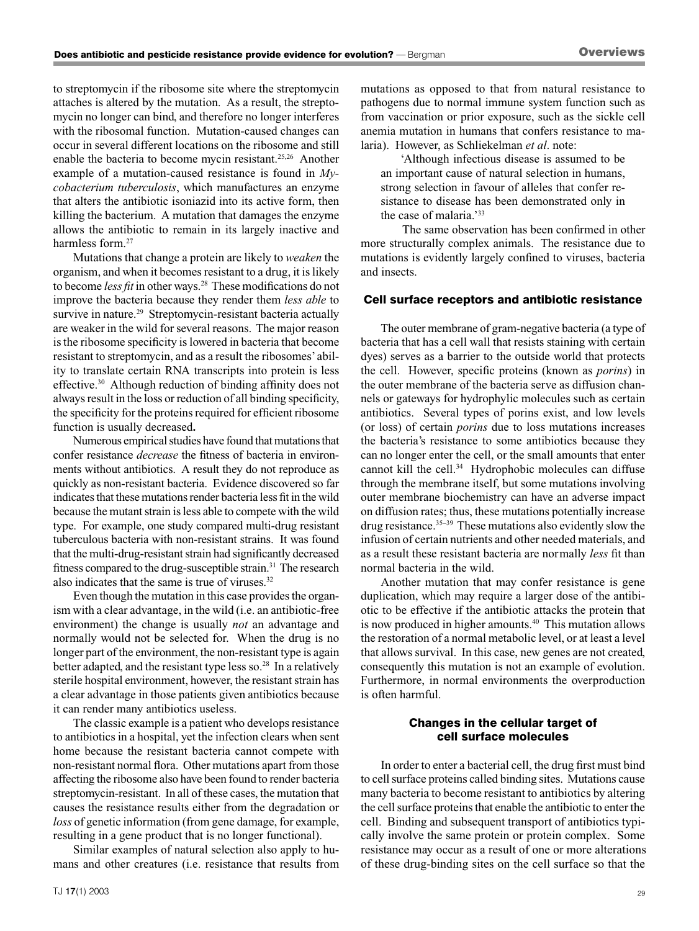to streptomycin if the ribosome site where the streptomycin attaches is altered by the mutation. As a result, the streptomycin no longer can bind, and therefore no longer interferes with the ribosomal function. Mutation-caused changes can occur in several different locations on the ribosome and still enable the bacteria to become mycin resistant.25,26 Another example of a mutation-caused resistance is found in *Mycobacterium tuberculosis*, which manufactures an enzyme that alters the antibiotic isoniazid into its active form, then killing the bacterium. A mutation that damages the enzyme allows the antibiotic to remain in its largely inactive and harmless form.<sup>27</sup>

Mutations that change a protein are likely to *weaken* the organism, and when it becomes resistant to a drug, it is likely to become *less fit* in other ways. 28 These modifications do not improve the bacteria because they render them *less able* to survive in nature.<sup>29</sup> Streptomycin-resistant bacteria actually are weaker in the wild for several reasons. The major reason is the ribosome specificity is lowered in bacteria that become resistant to streptomycin, and as a result the ribosomes' ability to translate certain RNA transcripts into protein is less effective. 30 Although reduction of binding affinity does not always result in the loss or reduction of all binding specificity, the specificity for the proteins required for efficient ribosome function is usually decreased**.**

Numerous empirical studies have found that mutations that confer resistance *decrease* the fitness of bacteria in environments without antibiotics. A result they do not reproduce as quickly as non-resistant bacteria. Evidence discovered so far indicates that these mutations render bacteria less fit in the wild because the mutant strain is less able to compete with the wild type. For example, one study compared multi-drug resistant tuberculous bacteria with non-resistant strains. It was found that the multi-drug-resistant strain had significantly decreased fitness compared to the drug-susceptible strain.<sup>31</sup> The research also indicates that the same is true of viruses.32

Even though the mutation in this case provides the organism with a clear advantage, in the wild (i.e. an antibiotic-free environment) the change is usually *not* an advantage and normally would not be selected for. When the drug is no longer part of the environment, the non-resistant type is again better adapted, and the resistant type less so.<sup>28</sup> In a relatively sterile hospital environment, however, the resistant strain has a clear advantage in those patients given antibiotics because it can render many antibiotics useless.

The classic example is a patient who develops resistance to antibiotics in a hospital, yet the infection clears when sent home because the resistant bacteria cannot compete with non-resistant normal flora. Other mutations apart from those affecting the ribosome also have been found to render bacteria streptomycin-resistant. In all of these cases, the mutation that causes the resistance results either from the degradation or *loss* of genetic information (from gene damage, for example, resulting in a gene product that is no longer functional).

Similar examples of natural selection also apply to humans and other creatures (i.e. resistance that results from mutations as opposed to that from natural resistance to pathogens due to normal immune system function such as from vaccination or prior exposure, such as the sickle cell anemia mutation in humans that confers resistance to malaria). However, as Schliekelman *et al*. note:

'Although infectious disease is assumed to be an important cause of natural selection in humans, strong selection in favour of alleles that confer resistance to disease has been demonstrated only in the case of malaria.'33

The same observation has been confirmed in other more structurally complex animals. The resistance due to mutations is evidently largely confined to viruses, bacteria and insects.

#### Cell surface receptors and antibiotic resistance

The outer membrane of gram-negative bacteria (a type of bacteria that has a cell wall that resists staining with certain dyes) serves as a barrier to the outside world that protects the cell. However, specific proteins (known as *porins*) in the outer membrane of the bacteria serve as diffusion channels or gateways for hydrophylic molecules such as certain antibiotics. Several types of porins exist, and low levels (or loss) of certain *porins* due to loss mutations increases the bacteria's resistance to some antibiotics because they can no longer enter the cell, or the small amounts that enter cannot kill the cell.<sup>34</sup> Hydrophobic molecules can diffuse through the membrane itself, but some mutations involving outer membrane biochemistry can have an adverse impact on diffusion rates; thus, these mutations potentially increase drug resistance.<sup>35-39</sup> These mutations also evidently slow the infusion of certain nutrients and other needed materials, and as a result these resistant bacteria are normally *less* fit than normal bacteria in the wild.

Another mutation that may confer resistance is gene duplication, which may require a larger dose of the antibiotic to be effective if the antibiotic attacks the protein that is now produced in higher amounts.<sup>40</sup> This mutation allows the restoration of a normal metabolic level, or at least a level that allows survival. In this case, new genes are not created, consequently this mutation is not an example of evolution. Furthermore, in normal environments the overproduction is often harmful.

#### Changes in the cellular target of cell surface molecules

In order to enter a bacterial cell, the drug first must bind to cell surface proteins called binding sites. Mutations cause many bacteria to become resistant to antibiotics by altering the cell surface proteins that enable the antibiotic to enter the cell. Binding and subsequent transport of antibiotics typically involve the same protein or protein complex. Some resistance may occur as a result of one or more alterations of these drug-binding sites on the cell surface so that the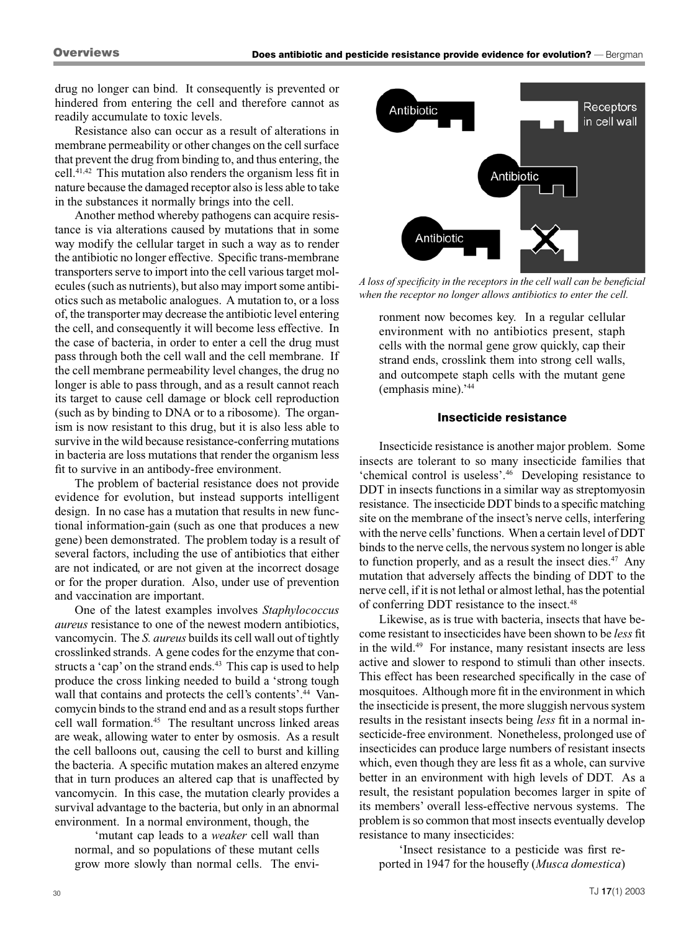drug no longer can bind. It consequently is prevented or hindered from entering the cell and therefore cannot as readily accumulate to toxic levels.

Resistance also can occur as a result of alterations in membrane permeability or other changes on the cell surface that prevent the drug from binding to, and thus entering, the cell.41,42 This mutation also renders the organism less fit in nature because the damaged receptor also is less able to take in the substances it normally brings into the cell.

Another method whereby pathogens can acquire resistance is via alterations caused by mutations that in some way modify the cellular target in such a way as to render the antibiotic no longer effective. Specific trans-membrane transporters serve to import into the cell various target molecules (such as nutrients), but also may import some antibiotics such as metabolic analogues. A mutation to, or a loss of, the transporter may decrease the antibiotic level entering the cell, and consequently it will become less effective. In the case of bacteria, in order to enter a cell the drug must pass through both the cell wall and the cell membrane. If the cell membrane permeability level changes, the drug no longer is able to pass through, and as a result cannot reach its target to cause cell damage or block cell reproduction (such as by binding to DNA or to a ribosome). The organism is now resistant to this drug, but it is also less able to survive in the wild because resistance-conferring mutations in bacteria are loss mutations that render the organism less fit to survive in an antibody-free environment.

The problem of bacterial resistance does not provide evidence for evolution, but instead supports intelligent design. In no case has a mutation that results in new functional information-gain (such as one that produces a new gene) been demonstrated. The problem today is a result of several factors, including the use of antibiotics that either are not indicated, or are not given at the incorrect dosage or for the proper duration. Also, under use of prevention and vaccination are important.

One of the latest examples involves *Staphylococcus aureus* resistance to one of the newest modern antibiotics, vancomycin. The *S. aureus* builds its cell wall out of tightly crosslinked strands. A gene codes for the enzyme that constructs a 'cap' on the strand ends.<sup>43</sup> This cap is used to help produce the cross linking needed to build a 'strong tough wall that contains and protects the cell's contents'.<sup>44</sup> Vancomycin binds to the strand end and as a result stops further cell wall formation.45 The resultant uncross linked areas are weak, allowing water to enter by osmosis. As a result the cell balloons out, causing the cell to burst and killing the bacteria. A specific mutation makes an altered enzyme that in turn produces an altered cap that is unaffected by vancomycin. In this case, the mutation clearly provides a survival advantage to the bacteria, but only in an abnormal environment. In a normal environment, though, the

'mutant cap leads to a *weaker* cell wall than normal, and so populations of these mutant cells grow more slowly than normal cells. The envi-



*A loss of specificity in the receptors in the cell wall can be beneficial when the receptor no longer allows antibiotics to enter the cell.*

ronment now becomes key. In a regular cellular environment with no antibiotics present, staph cells with the normal gene grow quickly, cap their strand ends, crosslink them into strong cell walls, and outcompete staph cells with the mutant gene (emphasis mine).'44

#### Insecticide resistance

Insecticide resistance is another major problem. Some insects are tolerant to so many insecticide families that 'chemical control is useless'.46 Developing resistance to DDT in insects functions in a similar way as streptomyosin resistance. The insecticide DDT binds to a specific matching site on the membrane of the insect's nerve cells, interfering with the nerve cells' functions. When a certain level of DDT binds to the nerve cells, the nervous system no longer is able to function properly, and as a result the insect dies. $47$  Any mutation that adversely affects the binding of DDT to the nerve cell, if it is not lethal or almost lethal, has the potential of conferring DDT resistance to the insect.48

Likewise, as is true with bacteria, insects that have become resistant to insecticides have been shown to be *less* fit in the wild.49 For instance, many resistant insects are less active and slower to respond to stimuli than other insects. This effect has been researched specifically in the case of mosquitoes. Although more fit in the environment in which the insecticide is present, the more sluggish nervous system results in the resistant insects being *less* fit in a normal insecticide-free environment. Nonetheless, prolonged use of insecticides can produce large numbers of resistant insects which, even though they are less fit as a whole, can survive better in an environment with high levels of DDT. As a result, the resistant population becomes larger in spite of its members' overall less-effective nervous systems. The problem is so common that most insects eventually develop resistance to many insecticides:

'Insect resistance to a pesticide was first reported in 1947 for the housefly (*Musca domestica*)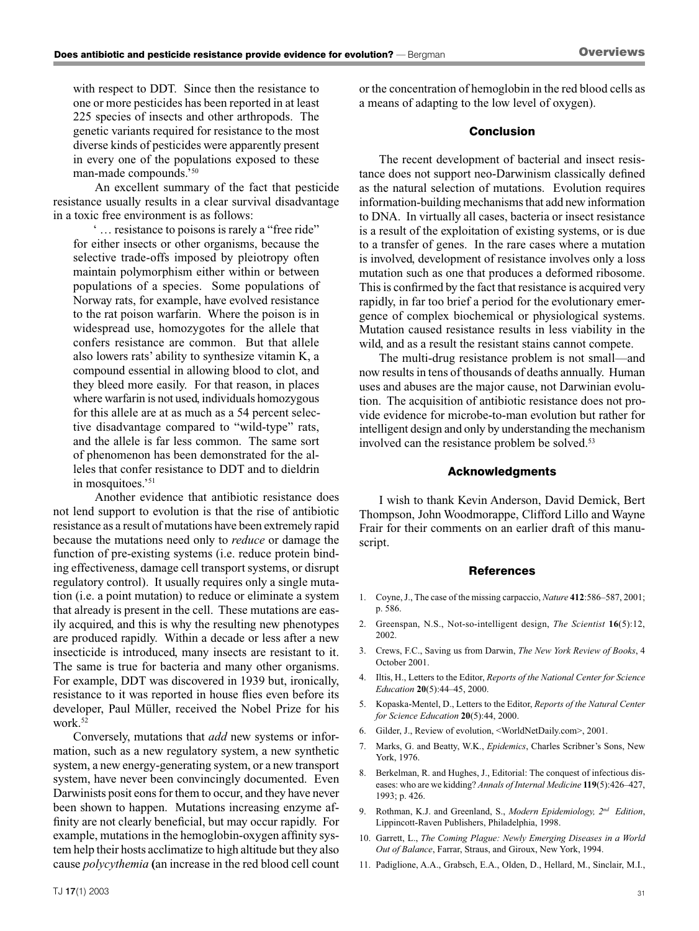with respect to DDT. Since then the resistance to one or more pesticides has been reported in at least 225 species of insects and other arthropods. The genetic variants required for resistance to the most diverse kinds of pesticides were apparently present in every one of the populations exposed to these man-made compounds.'50

An excellent summary of the fact that pesticide resistance usually results in a clear survival disadvantage in a toxic free environment is as follows:

' … resistance to poisons is rarely a "free ride" for either insects or other organisms, because the selective trade-offs imposed by pleiotropy often maintain polymorphism either within or between populations of a species. Some populations of Norway rats, for example, have evolved resistance to the rat poison warfarin. Where the poison is in widespread use, homozygotes for the allele that confers resistance are common. But that allele also lowers rats' ability to synthesize vitamin K, a compound essential in allowing blood to clot, and they bleed more easily. For that reason, in places where warfarin is not used, individuals homozygous for this allele are at as much as a 54 percent selective disadvantage compared to "wild-type" rats, and the allele is far less common. The same sort of phenomenon has been demonstrated for the alleles that confer resistance to DDT and to dieldrin in mosquitoes.'<sup>51</sup>

Another evidence that antibiotic resistance does not lend support to evolution is that the rise of antibiotic resistance as a result of mutations have been extremely rapid because the mutations need only to *reduce* or damage the function of pre-existing systems (i.e. reduce protein binding effectiveness, damage cell transport systems, or disrupt regulatory control). It usually requires only a single mutation (i.e. a point mutation) to reduce or eliminate a system that already is present in the cell. These mutations are easily acquired, and this is why the resulting new phenotypes are produced rapidly. Within a decade or less after a new insecticide is introduced, many insects are resistant to it. The same is true for bacteria and many other organisms. For example, DDT was discovered in 1939 but, ironically, resistance to it was reported in house flies even before its developer, Paul Müller, received the Nobel Prize for his work. 52

Conversely, mutations that *add* new systems or information, such as a new regulatory system, a new synthetic system, a new energy-generating system, or a new transport system, have never been convincingly documented. Even Darwinists posit eons for them to occur, and they have never been shown to happen. Mutations increasing enzyme affinity are not clearly beneficial, but may occur rapidly. For example, mutations in the hemoglobin-oxygen affinity system help their hosts acclimatize to high altitude but they also cause *polycythemia* **(**an increase in the red blood cell count or the concentration of hemoglobin in the red blood cells as a means of adapting to the low level of oxygen).

#### Conclusion

The recent development of bacterial and insect resistance does not support neo-Darwinism classically defined as the natural selection of mutations. Evolution requires information-building mechanisms that add new information to DNA. In virtually all cases, bacteria or insect resistance is a result of the exploitation of existing systems, or is due to a transfer of genes. In the rare cases where a mutation is involved, development of resistance involves only a loss mutation such as one that produces a deformed ribosome. This is confirmed by the fact that resistance is acquired very rapidly, in far too brief a period for the evolutionary emergence of complex biochemical or physiological systems. Mutation caused resistance results in less viability in the wild, and as a result the resistant stains cannot compete.

The multi-drug resistance problem is not small—and now results in tens of thousands of deaths annually. Human uses and abuses are the major cause, not Darwinian evolution. The acquisition of antibiotic resistance does not provide evidence for microbe-to-man evolution but rather for intelligent design and only by understanding the mechanism involved can the resistance problem be solved.<sup>53</sup>

#### Acknowledgments

I wish to thank Kevin Anderson, David Demick, Bert Thompson, John Woodmorappe, Clifford Lillo and Wayne Frair for their comments on an earlier draft of this manuscript.

#### References

- 1. Coyne, J., The case of the missing carpaccio, *Nature* **412**:586–587, 2001; p. 586.
- 2. Greenspan, N.S., Not-so-intelligent design, *The Scientist* **16**(5):12, 2002.
- 3. Crews, F.C., Saving us from Darwin, *The New York Review of Books*, 4 October 2001.
- 4. Iltis, H., Letters to the Editor, *Reports of the National Center for Science Education* **20**(5):44–45, 2000.
- 5. Kopaska-Mentel, D., Letters to the Editor, *Reports of the Natural Center for Science Education* **20**(5):44, 2000.
- 6. Gilder, J., Review of evolution, <WorldNetDaily.com>, 2001.
- 7. Marks, G. and Beatty, W.K., *Epidemics*, Charles Scribner's Sons, New York, 1976.
- 8. Berkelman, R. and Hughes, J., Editorial: The conquest of infectious diseases: who are we kidding? *Annals of Internal Medicine* **119**(5):426–427, 1993; p. 426.
- 9. Rothman, K.J. and Greenland, S., *Modern Epidemiology, 2nd Edition*, Lippincott-Raven Publishers, Philadelphia, 1998.
- 10. Garrett, L., *The Coming Plague: Newly Emerging Diseases in a World Out of Balance*, Farrar, Straus, and Giroux, New York, 1994.
- 11. Padiglione, A.A., Grabsch, E.A., Olden, D., Hellard, M., Sinclair, M.I.,